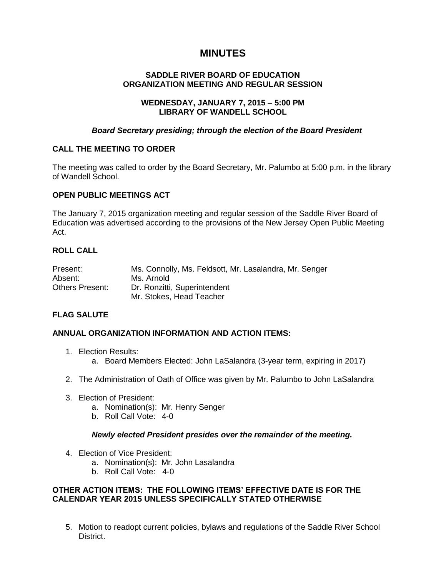# **MINUTES**

# **SADDLE RIVER BOARD OF EDUCATION ORGANIZATION MEETING AND REGULAR SESSION**

## **WEDNESDAY, JANUARY 7, 2015 – 5:00 PM LIBRARY OF WANDELL SCHOOL**

# *Board Secretary presiding; through the election of the Board President*

# **CALL THE MEETING TO ORDER**

The meeting was called to order by the Board Secretary, Mr. Palumbo at 5:00 p.m. in the library of Wandell School.

## **OPEN PUBLIC MEETINGS ACT**

The January 7, 2015 organization meeting and regular session of the Saddle River Board of Education was advertised according to the provisions of the New Jersey Open Public Meeting Act.

# **ROLL CALL**

| Present:               | Ms. Connolly, Ms. Feldsott, Mr. Lasalandra, Mr. Senger |
|------------------------|--------------------------------------------------------|
| Absent:                | Ms. Arnold                                             |
| <b>Others Present:</b> | Dr. Ronzitti, Superintendent                           |
|                        | Mr. Stokes, Head Teacher                               |

# **FLAG SALUTE**

# **ANNUAL ORGANIZATION INFORMATION AND ACTION ITEMS:**

- 1. Election Results:
	- a. Board Members Elected: John LaSalandra (3-year term, expiring in 2017)
- 2. The Administration of Oath of Office was given by Mr. Palumbo to John LaSalandra
- 3. Election of President:
	- a. Nomination(s): Mr. Henry Senger
	- b. Roll Call Vote: 4-0

### *Newly elected President presides over the remainder of the meeting.*

- 4. Election of Vice President:
	- a. Nomination(s): Mr. John Lasalandra
	- b. Roll Call Vote: 4-0

# **OTHER ACTION ITEMS: THE FOLLOWING ITEMS' EFFECTIVE DATE IS FOR THE CALENDAR YEAR 2015 UNLESS SPECIFICALLY STATED OTHERWISE**

5. Motion to readopt current policies, bylaws and regulations of the Saddle River School District.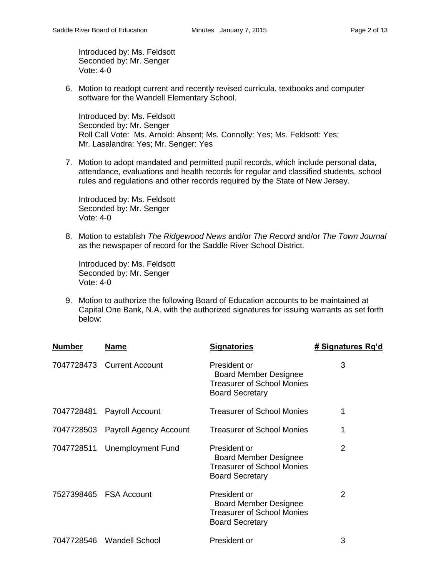Introduced by: Ms. Feldsott Seconded by: Mr. Senger Vote: 4-0

6. Motion to readopt current and recently revised curricula, textbooks and computer software for the Wandell Elementary School.

Introduced by: Ms. Feldsott Seconded by: Mr. Senger Roll Call Vote: Ms. Arnold: Absent; Ms. Connolly: Yes; Ms. Feldsott: Yes; Mr. Lasalandra: Yes; Mr. Senger: Yes

7. Motion to adopt mandated and permitted pupil records, which include personal data, attendance, evaluations and health records for regular and classified students, school rules and regulations and other records required by the State of New Jersey.

Introduced by: Ms. Feldsott Seconded by: Mr. Senger Vote: 4-0

8. Motion to establish *The Ridgewood News* and/or *The Record* and/or *The Town Journal* as the newspaper of record for the Saddle River School District.

Introduced by: Ms. Feldsott Seconded by: Mr. Senger Vote: 4-0

9. Motion to authorize the following Board of Education accounts to be maintained at Capital One Bank, N.A. with the authorized signatures for issuing warrants as set forth below:

| <b>Number</b> | <b>Name</b>                   | <b>Signatories</b>                                                                                          | # Signatures Rq'd |
|---------------|-------------------------------|-------------------------------------------------------------------------------------------------------------|-------------------|
|               | 7047728473 Current Account    | President or<br><b>Board Member Designee</b><br><b>Treasurer of School Monies</b><br><b>Board Secretary</b> | 3                 |
| 7047728481    | Payroll Account               | <b>Treasurer of School Monies</b>                                                                           |                   |
| 7047728503    | <b>Payroll Agency Account</b> | <b>Treasurer of School Monies</b>                                                                           | 1                 |
| 7047728511    | Unemployment Fund             | President or<br><b>Board Member Designee</b><br><b>Treasurer of School Monies</b><br><b>Board Secretary</b> | 2                 |
|               | 7527398465 FSA Account        | President or<br><b>Board Member Designee</b><br><b>Treasurer of School Monies</b><br><b>Board Secretary</b> | $\overline{2}$    |
| 7047728546    | <b>Wandell School</b>         | President or                                                                                                | 3                 |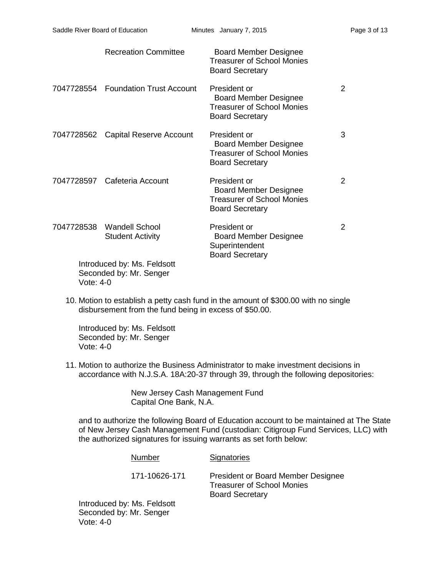|           | <b>Recreation Committee</b>                            | <b>Board Member Designee</b><br><b>Treasurer of School Monies</b><br><b>Board Secretary</b>                 |   |
|-----------|--------------------------------------------------------|-------------------------------------------------------------------------------------------------------------|---|
|           | 7047728554 Foundation Trust Account                    | President or<br><b>Board Member Designee</b><br><b>Treasurer of School Monies</b><br><b>Board Secretary</b> | 2 |
|           | 7047728562 Capital Reserve Account                     | President or<br><b>Board Member Designee</b><br><b>Treasurer of School Monies</b><br><b>Board Secretary</b> | 3 |
|           | 7047728597 Cafeteria Account                           | President or<br><b>Board Member Designee</b><br><b>Treasurer of School Monies</b><br><b>Board Secretary</b> | 2 |
|           | 7047728538 Wandell School<br><b>Student Activity</b>   | President or<br><b>Board Member Designee</b><br>Superintendent<br><b>Board Secretary</b>                    | 2 |
| Vote: 4-0 | Introduced by: Ms. Feldsott<br>Seconded by: Mr. Senger |                                                                                                             |   |

10. Motion to establish a petty cash fund in the amount of \$300.00 with no single disbursement from the fund being in excess of \$50.00.

Introduced by: Ms. Feldsott Seconded by: Mr. Senger Vote: 4-0

11. Motion to authorize the Business Administrator to make investment decisions in accordance with N.J.S.A. 18A:20-37 through 39, through the following depositories:

> New Jersey Cash Management Fund Capital One Bank, N.A.

and to authorize the following Board of Education account to be maintained at The State of New Jersey Cash Management Fund (custodian: Citigroup Fund Services, LLC) with the authorized signatures for issuing warrants as set forth below:

| Number                                      | Signatories                                                                                       |
|---------------------------------------------|---------------------------------------------------------------------------------------------------|
| 171-10626-171                               | President or Board Member Designee<br><b>Treasurer of School Monies</b><br><b>Board Secretary</b> |
| iced by: Ms. Feldsott<br>ded by: Mr. Senger |                                                                                                   |

Introdu Second Vote: 4-0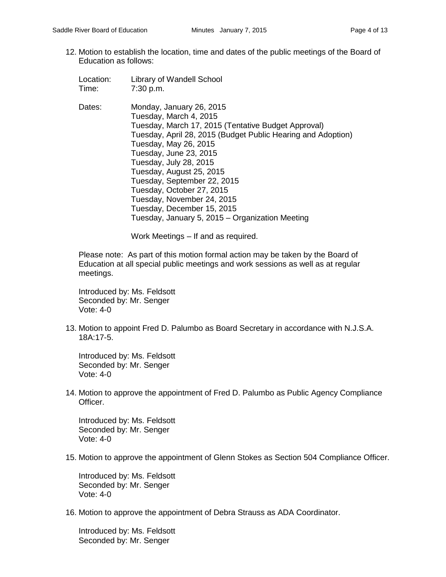- 12. Motion to establish the location, time and dates of the public meetings of the Board of Education as follows:
	- Location: Library of Wandell School Time: 7:30 p.m.
	- Dates: Monday, January 26, 2015 Tuesday, March 4, 2015 Tuesday, March 17, 2015 (Tentative Budget Approval) Tuesday, April 28, 2015 (Budget Public Hearing and Adoption) Tuesday, May 26, 2015 Tuesday, June 23, 2015 Tuesday, July 28, 2015 Tuesday, August 25, 2015 Tuesday, September 22, 2015 Tuesday, October 27, 2015 Tuesday, November 24, 2015 Tuesday, December 15, 2015 Tuesday, January 5, 2015 – Organization Meeting

Work Meetings – If and as required.

Please note: As part of this motion formal action may be taken by the Board of Education at all special public meetings and work sessions as well as at regular meetings.

Introduced by: Ms. Feldsott Seconded by: Mr. Senger Vote: 4-0

13. Motion to appoint Fred D. Palumbo as Board Secretary in accordance with N.J.S.A. 18A:17-5.

Introduced by: Ms. Feldsott Seconded by: Mr. Senger Vote: 4-0

14. Motion to approve the appointment of Fred D. Palumbo as Public Agency Compliance Officer.

Introduced by: Ms. Feldsott Seconded by: Mr. Senger Vote: 4-0

15. Motion to approve the appointment of Glenn Stokes as Section 504 Compliance Officer.

Introduced by: Ms. Feldsott Seconded by: Mr. Senger Vote: 4-0

16. Motion to approve the appointment of Debra Strauss as ADA Coordinator.

Introduced by: Ms. Feldsott Seconded by: Mr. Senger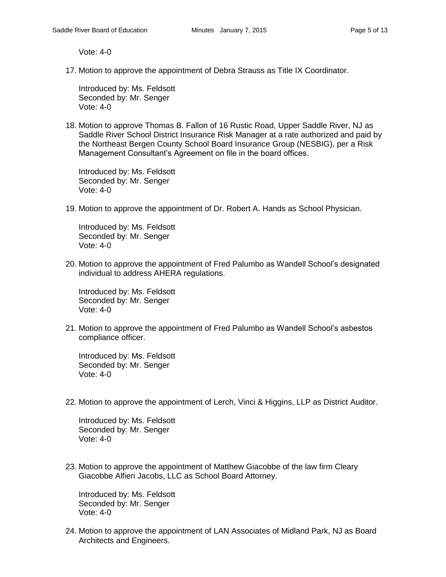Vote: 4-0

17. Motion to approve the appointment of Debra Strauss as Title IX Coordinator.

Introduced by: Ms. Feldsott Seconded by: Mr. Senger Vote: 4-0

18. Motion to approve Thomas B. Fallon of 16 Rustic Road, Upper Saddle River, NJ as Saddle River School District Insurance Risk Manager at a rate authorized and paid by the Northeast Bergen County School Board Insurance Group (NESBIG), per a Risk Management Consultant's Agreement on file in the board offices.

Introduced by: Ms. Feldsott Seconded by: Mr. Senger Vote: 4-0

19. Motion to approve the appointment of Dr. Robert A. Hands as School Physician.

Introduced by: Ms. Feldsott Seconded by: Mr. Senger Vote: 4-0

20. Motion to approve the appointment of Fred Palumbo as Wandell School's designated individual to address AHERA regulations.

Introduced by: Ms. Feldsott Seconded by: Mr. Senger Vote: 4-0

21. Motion to approve the appointment of Fred Palumbo as Wandell School's asbestos compliance officer.

Introduced by: Ms. Feldsott Seconded by: Mr. Senger Vote: 4-0

22. Motion to approve the appointment of Lerch, Vinci & Higgins, LLP as District Auditor.

Introduced by: Ms. Feldsott Seconded by: Mr. Senger Vote: 4-0

23. Motion to approve the appointment of Matthew Giacobbe of the law firm Cleary Giacobbe Alfieri Jacobs, LLC as School Board Attorney.

Introduced by: Ms. Feldsott Seconded by: Mr. Senger Vote: 4-0

24. Motion to approve the appointment of LAN Associates of Midland Park, NJ as Board Architects and Engineers.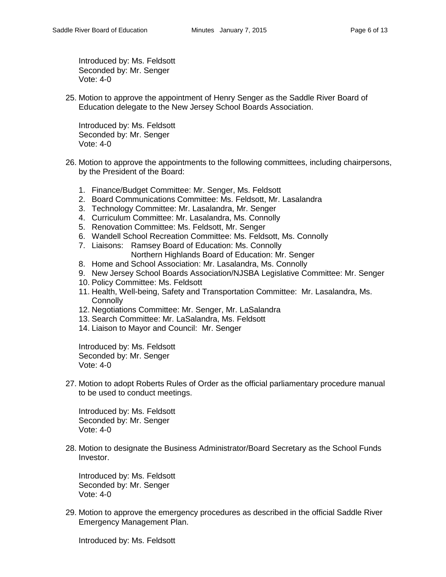Introduced by: Ms. Feldsott Seconded by: Mr. Senger Vote: 4-0

25. Motion to approve the appointment of Henry Senger as the Saddle River Board of Education delegate to the New Jersey School Boards Association.

Introduced by: Ms. Feldsott Seconded by: Mr. Senger Vote: 4-0

- 26. Motion to approve the appointments to the following committees, including chairpersons, by the President of the Board:
	- 1. Finance/Budget Committee: Mr. Senger, Ms. Feldsott
	- 2. Board Communications Committee: Ms. Feldsott, Mr. Lasalandra
	- 3. Technology Committee: Mr. Lasalandra, Mr. Senger
	- 4. Curriculum Committee: Mr. Lasalandra, Ms. Connolly
	- 5. Renovation Committee: Ms. Feldsott, Mr. Senger
	- 6. Wandell School Recreation Committee: Ms. Feldsott, Ms. Connolly
	- 7. Liaisons: Ramsey Board of Education: Ms. Connolly Northern Highlands Board of Education: Mr. Senger
	- 8. Home and School Association: Mr. Lasalandra, Ms. Connolly
	- 9. New Jersey School Boards Association/NJSBA Legislative Committee: Mr. Senger
	- 10. Policy Committee: Ms. Feldsott
	- 11. Health, Well-being, Safety and Transportation Committee: Mr. Lasalandra, Ms. **Connolly**
	- 12. Negotiations Committee: Mr. Senger, Mr. LaSalandra
	- 13. Search Committee: Mr. LaSalandra, Ms. Feldsott
	- 14. Liaison to Mayor and Council: Mr. Senger

Introduced by: Ms. Feldsott Seconded by: Mr. Senger Vote: 4-0

27. Motion to adopt Roberts Rules of Order as the official parliamentary procedure manual to be used to conduct meetings.

Introduced by: Ms. Feldsott Seconded by: Mr. Senger Vote: 4-0

28. Motion to designate the Business Administrator/Board Secretary as the School Funds Investor.

Introduced by: Ms. Feldsott Seconded by: Mr. Senger Vote: 4-0

29. Motion to approve the emergency procedures as described in the official Saddle River Emergency Management Plan.

Introduced by: Ms. Feldsott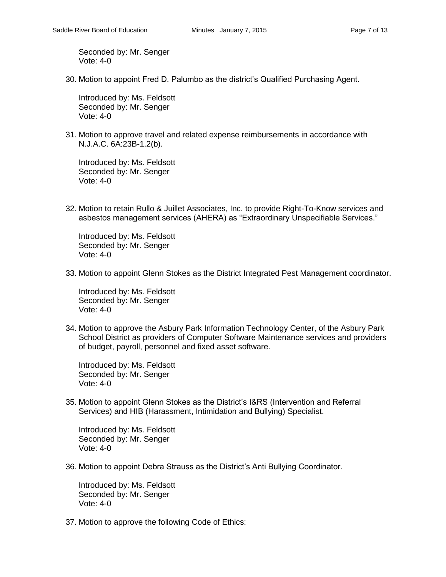Seconded by: Mr. Senger Vote: 4-0

30. Motion to appoint Fred D. Palumbo as the district's Qualified Purchasing Agent.

Introduced by: Ms. Feldsott Seconded by: Mr. Senger Vote: 4-0

31. Motion to approve travel and related expense reimbursements in accordance with N.J.A.C. 6A:23B-1.2(b).

Introduced by: Ms. Feldsott Seconded by: Mr. Senger Vote: 4-0

32. Motion to retain Rullo & Juillet Associates, Inc. to provide Right-To-Know services and asbestos management services (AHERA) as "Extraordinary Unspecifiable Services."

Introduced by: Ms. Feldsott Seconded by: Mr. Senger Vote: 4-0

33. Motion to appoint Glenn Stokes as the District Integrated Pest Management coordinator.

Introduced by: Ms. Feldsott Seconded by: Mr. Senger Vote: 4-0

34. Motion to approve the Asbury Park Information Technology Center, of the Asbury Park School District as providers of Computer Software Maintenance services and providers of budget, payroll, personnel and fixed asset software.

Introduced by: Ms. Feldsott Seconded by: Mr. Senger Vote: 4-0

35. Motion to appoint Glenn Stokes as the District's I&RS (Intervention and Referral Services) and HIB (Harassment, Intimidation and Bullying) Specialist.

Introduced by: Ms. Feldsott Seconded by: Mr. Senger Vote: 4-0

36. Motion to appoint Debra Strauss as the District's Anti Bullying Coordinator.

Introduced by: Ms. Feldsott Seconded by: Mr. Senger Vote: 4-0

37. Motion to approve the following Code of Ethics: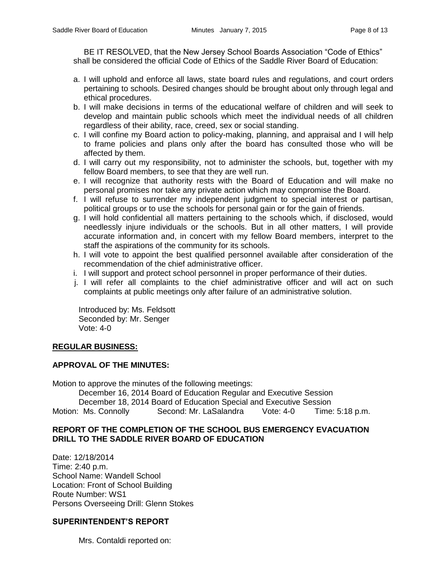BE IT RESOLVED, that the New Jersey School Boards Association "Code of Ethics" shall be considered the official Code of Ethics of the Saddle River Board of Education:

- a. I will uphold and enforce all laws, state board rules and regulations, and court orders pertaining to schools. Desired changes should be brought about only through legal and ethical procedures.
- b. I will make decisions in terms of the educational welfare of children and will seek to develop and maintain public schools which meet the individual needs of all children regardless of their ability, race, creed, sex or social standing.
- c. I will confine my Board action to policy-making, planning, and appraisal and I will help to frame policies and plans only after the board has consulted those who will be affected by them.
- d. I will carry out my responsibility, not to administer the schools, but, together with my fellow Board members, to see that they are well run.
- e. I will recognize that authority rests with the Board of Education and will make no personal promises nor take any private action which may compromise the Board.
- f. I will refuse to surrender my independent judgment to special interest or partisan, political groups or to use the schools for personal gain or for the gain of friends.
- g. I will hold confidential all matters pertaining to the schools which, if disclosed, would needlessly injure individuals or the schools. But in all other matters, I will provide accurate information and, in concert with my fellow Board members, interpret to the staff the aspirations of the community for its schools.
- h. I will vote to appoint the best qualified personnel available after consideration of the recommendation of the chief administrative officer.
- i. I will support and protect school personnel in proper performance of their duties.
- j. I will refer all complaints to the chief administrative officer and will act on such complaints at public meetings only after failure of an administrative solution.

Introduced by: Ms. Feldsott Seconded by: Mr. Senger Vote: 4-0

# **REGULAR BUSINESS:**

### **APPROVAL OF THE MINUTES:**

Motion to approve the minutes of the following meetings:

December 16, 2014 Board of Education Regular and Executive Session December 18, 2014 Board of Education Special and Executive Session Motion: Ms. Connolly Second: Mr. LaSalandra Vote: 4-0 Time: 5:18 p.m.

## **REPORT OF THE COMPLETION OF THE SCHOOL BUS EMERGENCY EVACUATION DRILL TO THE SADDLE RIVER BOARD OF EDUCATION**

Date: 12/18/2014 Time: 2:40 p.m. School Name: Wandell School Location: Front of School Building Route Number: WS1 Persons Overseeing Drill: Glenn Stokes

### **SUPERINTENDENT'S REPORT**

Mrs. Contaldi reported on: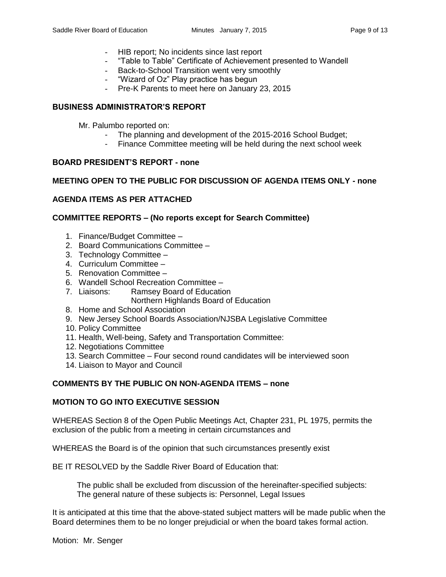- HIB report; No incidents since last report
- "Table to Table" Certificate of Achievement presented to Wandell
- Back-to-School Transition went very smoothly
- "Wizard of Oz" Play practice has begun
- Pre-K Parents to meet here on January 23, 2015

## **BUSINESS ADMINISTRATOR'S REPORT**

- Mr. Palumbo reported on:
	- The planning and development of the 2015-2016 School Budget;
	- Finance Committee meeting will be held during the next school week

## **BOARD PRESIDENT'S REPORT - none**

## **MEETING OPEN TO THE PUBLIC FOR DISCUSSION OF AGENDA ITEMS ONLY - none**

# **AGENDA ITEMS AS PER ATTACHED**

## **COMMITTEE REPORTS – (No reports except for Search Committee)**

- 1. Finance/Budget Committee –
- 2. Board Communications Committee –
- 3. Technology Committee –
- 4. Curriculum Committee –
- 5. Renovation Committee –
- 6. Wandell School Recreation Committee –
- 7. Liaisons: Ramsey Board of Education
	- Northern Highlands Board of Education
- 8. Home and School Association
- 9. New Jersey School Boards Association/NJSBA Legislative Committee
- 10. Policy Committee
- 11. Health, Well-being, Safety and Transportation Committee:
- 12. Negotiations Committee
- 13. Search Committee Four second round candidates will be interviewed soon
- 14. Liaison to Mayor and Council

### **COMMENTS BY THE PUBLIC ON NON-AGENDA ITEMS – none**

### **MOTION TO GO INTO EXECUTIVE SESSION**

WHEREAS Section 8 of the Open Public Meetings Act, Chapter 231, PL 1975, permits the exclusion of the public from a meeting in certain circumstances and

WHEREAS the Board is of the opinion that such circumstances presently exist

BE IT RESOLVED by the Saddle River Board of Education that:

 The public shall be excluded from discussion of the hereinafter-specified subjects: The general nature of these subjects is: Personnel, Legal Issues

It is anticipated at this time that the above-stated subject matters will be made public when the Board determines them to be no longer prejudicial or when the board takes formal action.

Motion: Mr. Senger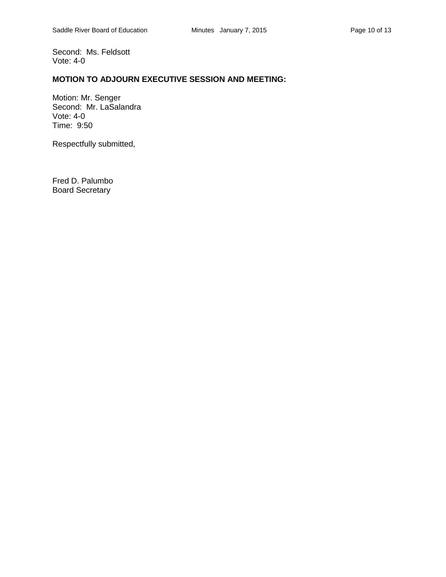Second: Ms. Feldsott Vote: 4-0

# **MOTION TO ADJOURN EXECUTIVE SESSION AND MEETING:**

Motion: Mr. Senger Second: Mr. LaSalandra Vote: 4-0 Time: 9:50

Respectfully submitted,

Fred D. Palumbo Board Secretary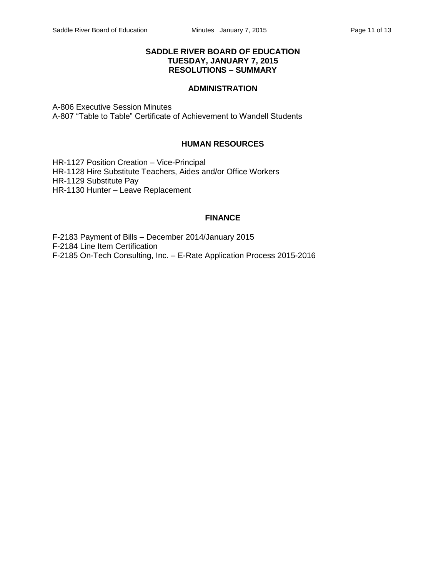### **SADDLE RIVER BOARD OF EDUCATION TUESDAY, JANUARY 7, 2015 RESOLUTIONS – SUMMARY**

# **ADMINISTRATION**

A-806 Executive Session Minutes A-807 "Table to Table" Certificate of Achievement to Wandell Students

## **HUMAN RESOURCES**

HR-1127 Position Creation – Vice-Principal HR-1128 Hire Substitute Teachers, Aides and/or Office Workers HR-1129 Substitute Pay HR-1130 Hunter – Leave Replacement

# **FINANCE**

F-2183 Payment of Bills – December 2014/January 2015 F-2184 Line Item Certification F-2185 On-Tech Consulting, Inc. – E-Rate Application Process 2015-2016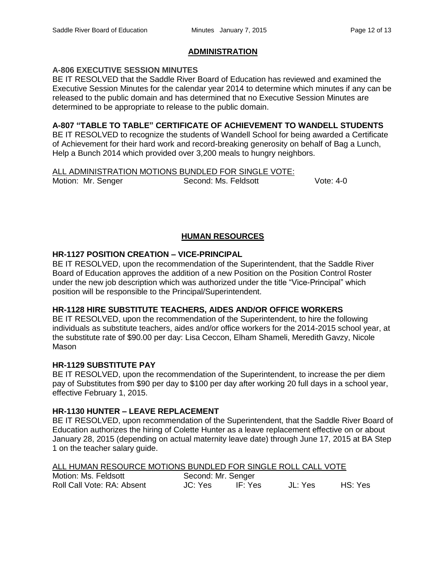# **ADMINISTRATION**

## **A-806 EXECUTIVE SESSION MINUTES**

BE IT RESOLVED that the Saddle River Board of Education has reviewed and examined the Executive Session Minutes for the calendar year 2014 to determine which minutes if any can be released to the public domain and has determined that no Executive Session Minutes are determined to be appropriate to release to the public domain.

### **A-807 "TABLE TO TABLE" CERTIFICATE OF ACHIEVEMENT TO WANDELL STUDENTS**

BE IT RESOLVED to recognize the students of Wandell School for being awarded a Certificate of Achievement for their hard work and record-breaking generosity on behalf of Bag a Lunch, Help a Bunch 2014 which provided over 3,200 meals to hungry neighbors.

# ALL ADMINISTRATION MOTIONS BUNDLED FOR SINGLE VOTE:

Motion: Mr. Senger Second: Ms. Feldsott Vote: 4-0

# **HUMAN RESOURCES**

## **HR-1127 POSITION CREATION – VICE-PRINCIPAL**

BE IT RESOLVED, upon the recommendation of the Superintendent, that the Saddle River Board of Education approves the addition of a new Position on the Position Control Roster under the new job description which was authorized under the title "Vice-Principal" which position will be responsible to the Principal/Superintendent.

### **HR-1128 HIRE SUBSTITUTE TEACHERS, AIDES AND/OR OFFICE WORKERS**

BE IT RESOLVED, upon the recommendation of the Superintendent, to hire the following individuals as substitute teachers, aides and/or office workers for the 2014-2015 school year, at the substitute rate of \$90.00 per day: Lisa Ceccon, Elham Shameli, Meredith Gavzy, Nicole Mason

## **HR-1129 SUBSTITUTE PAY**

BE IT RESOLVED, upon the recommendation of the Superintendent, to increase the per diem pay of Substitutes from \$90 per day to \$100 per day after working 20 full days in a school year, effective February 1, 2015.

### **HR-1130 HUNTER – LEAVE REPLACEMENT**

BE IT RESOLVED, upon recommendation of the Superintendent, that the Saddle River Board of Education authorizes the hiring of Colette Hunter as a leave replacement effective on or about January 28, 2015 (depending on actual maternity leave date) through June 17, 2015 at BA Step 1 on the teacher salary guide.

### ALL HUMAN RESOURCE MOTIONS BUNDLED FOR SINGLE ROLL CALL VOTE

| Motion: Ms. Feldsott       | Second: Mr. Senger |         |         |         |
|----------------------------|--------------------|---------|---------|---------|
| Roll Call Vote: RA: Absent | JC: Yes            | IF: Yes | JL: Yes | HS: Yes |